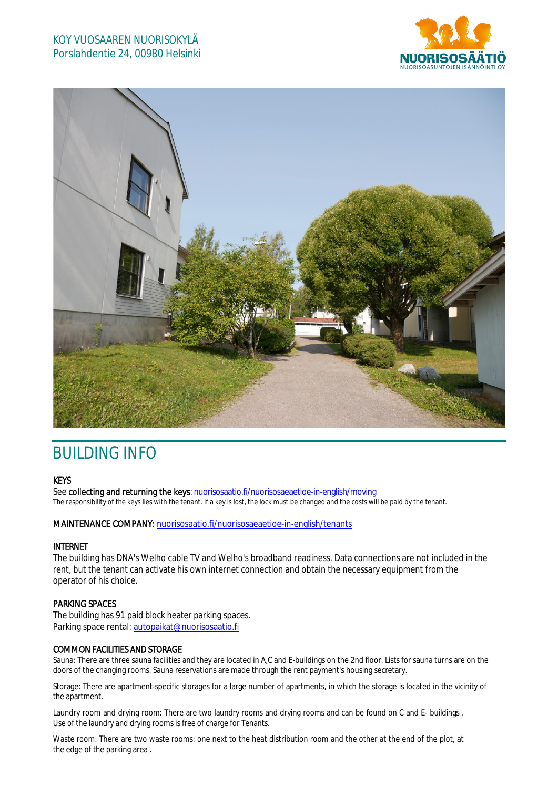# KOY VUOSAAREN NUORISOKYLÄ Porslahdentie 24, 00980 Helsinki





# BUILDING INFO

# **KEYS**

See collecting and returning the keys: nuorisosaatio.fi/nuorisosaeaetioe-in-english/moving The responsibility of the keys lies with the tenant. If a key is lost, the lock must be changed and the costs will be paid by the tenant.

#### MAINTENANCE COMPANY: nuorisosaatio.fi/nuorisosaeaetioe-in-english/tenants

# INTERNET

The building has DNA's Welho cable TV and Welho's broadband readiness. Data connections are not included in the rent, but the tenant can activate his own internet connection and obtain the necessary equipment from the operator of his choice.

# PARKING SPACES

The building has 91 paid block heater parking spaces. Parking space rental: autopaikat@nuorisosaatio.fi

# COMMON FACILITIES AND STORAGE

Sauna: There are three sauna facilities and they are located in A,C and E-buildings on the 2nd floor. Lists for sauna turns are on the doors of the changing rooms. Sauna reservations are made through the rent payment's housing secretary.

Storage: There are apartment-specific storages for a large number of apartments, in which the storage is located in the vicinity of the apartment.

Laundry room and drying room: There are two laundry rooms and drying rooms and can be found on C and E- buildings . Use of the laundry and drying rooms is free of charge for Tenants.

Waste room: There are two waste rooms: one next to the heat distribution room and the other at the end of the plot, at the edge of the parking area .